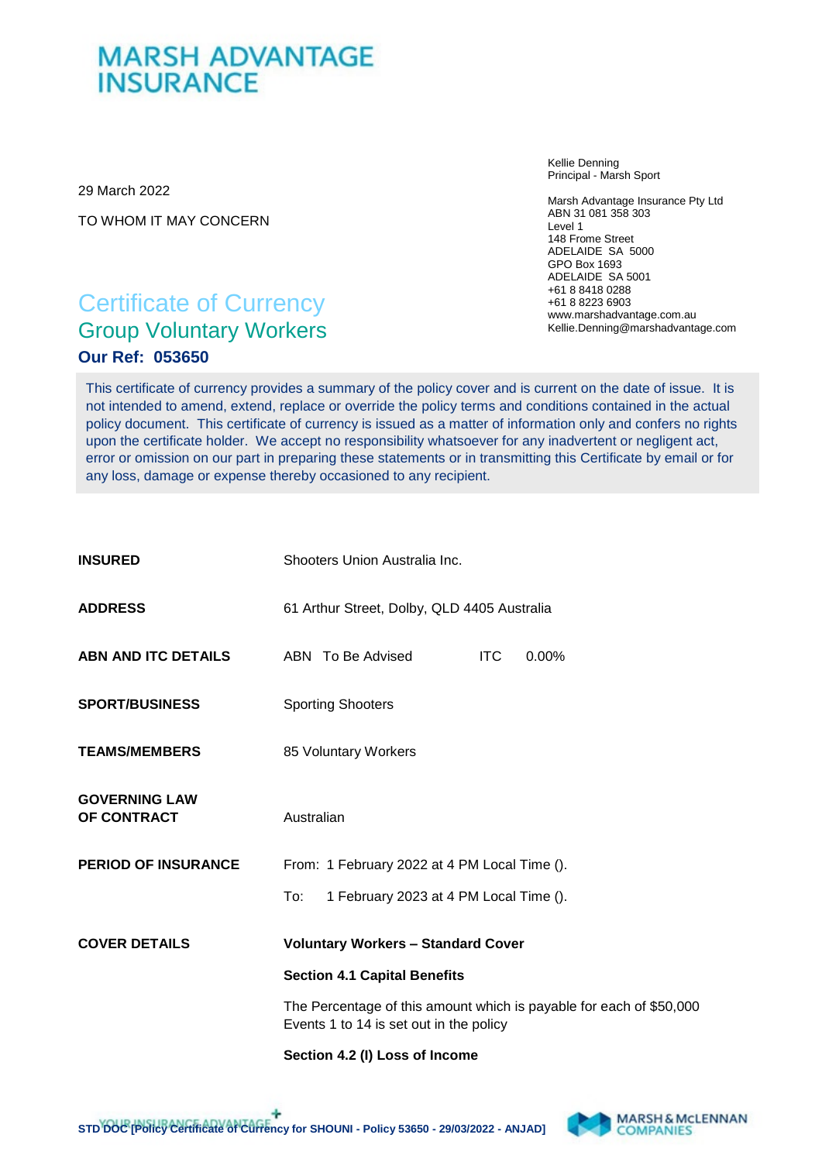## **MARSH ADVANTAGE INSURANCE**

29 March 2022

TO WHOM IT MAY CONCERN

Kellie Denning Principal - Marsh Sport

Marsh Advantage Insurance Pty Ltd ABN 31 081 358 303 Level 1 148 Frome Street ADELAIDE SA 5000 GPO Box 1693 ADELAIDE SA 5001 +61 8 8418 0288 +61 8 8223 6903 www.marshadvantage.com.au Kellie.Denning@marshadvantage.com

### Certificate of Currency Group Voluntary Workers **Our Ref: 053650**

This certificate of currency provides a summary of the policy cover and is current on the date of issue. It is not intended to amend, extend, replace or override the policy terms and conditions contained in the actual policy document. This certificate of currency is issued as a matter of information only and confers no rights upon the certificate holder. We accept no responsibility whatsoever for any inadvertent or negligent act, error or omission on our part in preparing these statements or in transmitting this Certificate by email or for any loss, damage or expense thereby occasioned to any recipient.

| <b>INSURED</b>                      | Shooters Union Australia Inc.                                                                                  |
|-------------------------------------|----------------------------------------------------------------------------------------------------------------|
| <b>ADDRESS</b>                      | 61 Arthur Street, Dolby, QLD 4405 Australia                                                                    |
| ABN AND ITC DETAILS                 | ABN To Be Advised<br><b>ITC</b><br>$0.00\%$                                                                    |
| <b>SPORT/BUSINESS</b>               | <b>Sporting Shooters</b>                                                                                       |
| <b>TEAMS/MEMBERS</b>                | 85 Voluntary Workers                                                                                           |
| <b>GOVERNING LAW</b><br>OF CONTRACT | Australian                                                                                                     |
| <b>PERIOD OF INSURANCE</b>          | From: 1 February 2022 at 4 PM Local Time ().                                                                   |
|                                     | To:<br>1 February 2023 at 4 PM Local Time ().                                                                  |
| <b>COVER DETAILS</b>                | <b>Voluntary Workers - Standard Cover</b>                                                                      |
|                                     | <b>Section 4.1 Capital Benefits</b>                                                                            |
|                                     | The Percentage of this amount which is payable for each of \$50,000<br>Events 1 to 14 is set out in the policy |
|                                     | Section 4.2 (I) Loss of Income                                                                                 |

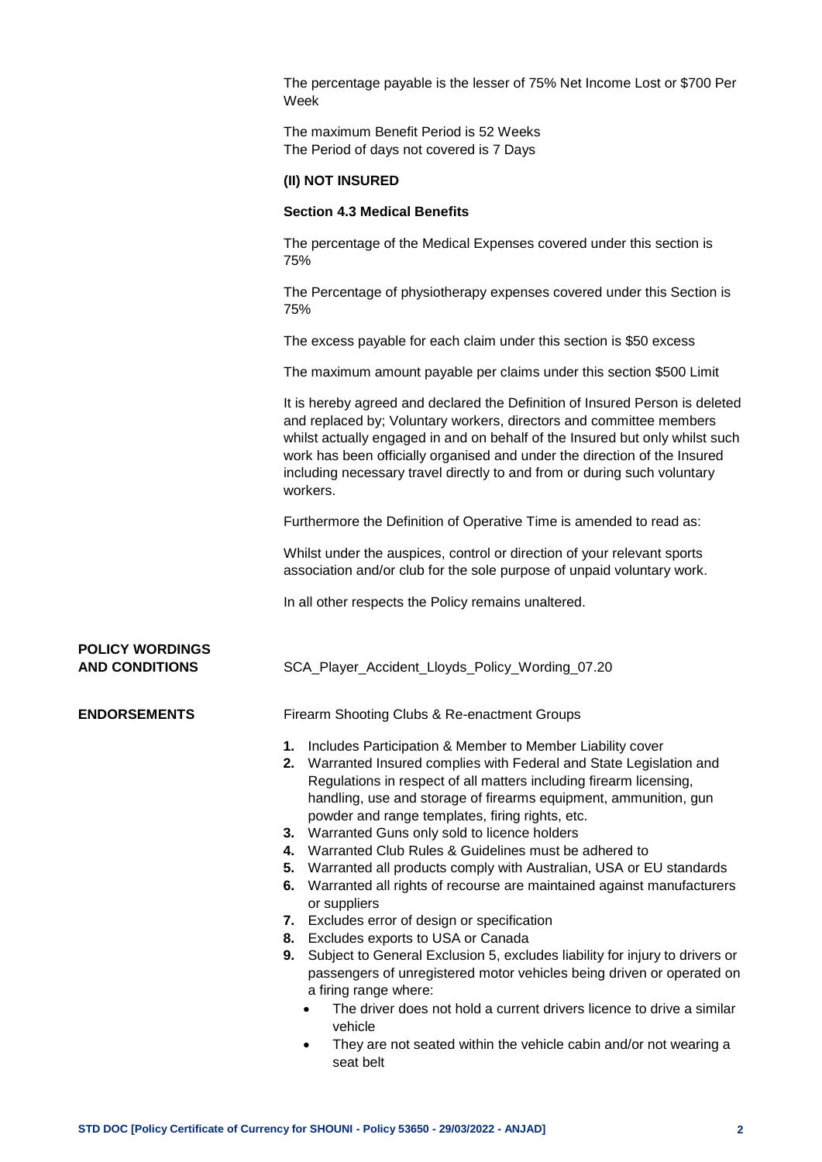The percentage payable is the lesser of 75% Net Income Lost or \$700 Per Week

The maximum Benefit Period is 52 Weeks The Period of days not covered is 7 Days

#### **(II) NOT INSURED**

#### **Section 4.3 Medical Benefits**

The percentage of the Medical Expenses covered under this section is 75%

The Percentage of physiotherapy expenses covered under this Section is 75%

The excess payable for each claim under this section is \$50 excess

The maximum amount payable per claims under this section \$500 Limit

It is hereby agreed and declared the Definition of Insured Person is deleted and replaced by; Voluntary workers, directors and committee members whilst actually engaged in and on behalf of the Insured but only whilst such work has been officially organised and under the direction of the Insured including necessary travel directly to and from or during such voluntary workers.

Furthermore the Definition of Operative Time is amended to read as:

Whilst under the auspices, control or direction of your relevant sports association and/or club for the sole purpose of unpaid voluntary work.

In all other respects the Policy remains unaltered.

# **POLICY WORDINGS**

**AND CONDITIONS** SCA\_Player\_Accident\_Lloyds\_Policy\_Wording\_07.20

**ENDORSEMENTS** Firearm Shooting Clubs & Re-enactment Groups

- **1.** Includes Participation & Member to Member Liability cover
- **2.** Warranted Insured complies with Federal and State Legislation and Regulations in respect of all matters including firearm licensing, handling, use and storage of firearms equipment, ammunition, gun powder and range templates, firing rights, etc.
- **3.** Warranted Guns only sold to licence holders
- **4.** Warranted Club Rules & Guidelines must be adhered to
- **5.** Warranted all products comply with Australian, USA or EU standards
- **6.** Warranted all rights of recourse are maintained against manufacturers or suppliers
- **7.** Excludes error of design or specification
- **8.** Excludes exports to USA or Canada
- **9.** Subject to General Exclusion 5, excludes liability for injury to drivers or passengers of unregistered motor vehicles being driven or operated on a firing range where:
	- The driver does not hold a current drivers licence to drive a similar vehicle
	- They are not seated within the vehicle cabin and/or not wearing a seat belt